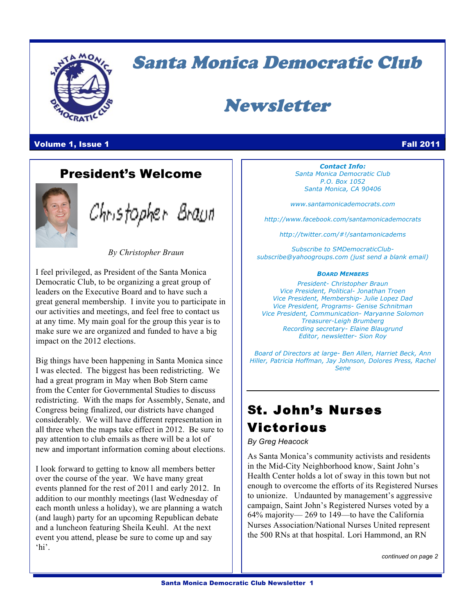

# Santa Monica Democratic Club

# Newsletter

Volume 1, Issue 1 Fall 2011

### President's Welcome



Christopher Braun

*By Christopher Braun*

I feel privileged, as President of the Santa Monica Democratic Club, to be organizing a great group of leaders on the Executive Board and to have such a great general membership. I invite you to participate in our activities and meetings, and feel free to contact us at any time. My main goal for the group this year is to make sure we are organized and funded to have a big impact on the 2012 elections.

Big things have been happening in Santa Monica since I was elected. The biggest has been redistricting. We had a great program in May when Bob Stern came from the Center for Governmental Studies to discuss redistricting. With the maps for Assembly, Senate, and Congress being finalized, our districts have changed considerably. We will have different representation in all three when the maps take effect in 2012. Be sure to pay attention to club emails as there will be a lot of new and important information coming about elections.

I look forward to getting to know all members better over the course of the year. We have many great events planned for the rest of 2011 and early 2012. In addition to our monthly meetings (last Wednesday of each month unless a holiday), we are planning a watch (and laugh) party for an upcoming Republican debate and a luncheon featuring Sheila Keuhl. At the next event you attend, please be sure to come up and say 'hi'.

*Contact Info: Santa Monica Democratic Club P.O. Box 1052 Santa Monica, CA 90406*

*www.santamonicademocrats.com*

*http://www.facebook.com/santamonicademocrats*

*http://twitter.com/#!/santamonicadems*

*Subscribe to SMDemocraticClubsubscribe@yahoogroups.com (just send a blank email)*

### *BOARD MEMBERS*

*President- Christopher Braun Vice President, Political- Jonathan Troen Vice President, Membership- Julie Lopez Dad Vice President, Programs- Genise Schnitman Vice President, Communication- Maryanne Solomon Treasurer-Leigh Brumberg Recording secretary- Elaine Blaugrund Editor, newsletter- Sion Roy*

*Board of Directors at large- Ben Allen, Harriet Beck, Ann Hiller, Patricia Hoffman, Jay Johnson, Dolores Press, Rachel Sene*

# St. John's Nurses Victorious

*By Greg Heacock*

As Santa Monica's community activists and residents in the Mid-City Neighborhood know, Saint John's Health Center holds a lot of sway in this town but not enough to overcome the efforts of its Registered Nurses to unionize. Undaunted by management's aggressive campaign, Saint John's Registered Nurses voted by a 64% majority— 269 to 149—to have the California Nurses Association/National Nurses United represent the 500 RNs at that hospital. Lori Hammond, an RN

*continued on page 2*